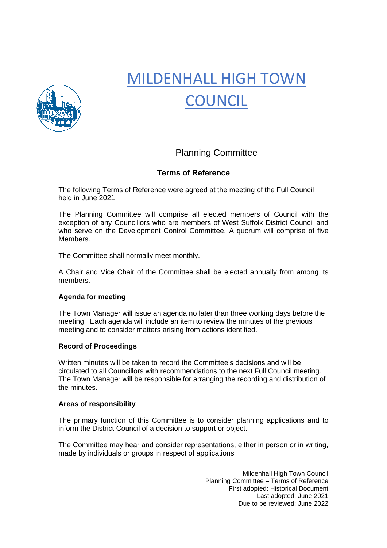

# MILDENHALL HIGH TOWN **COUNCIL**

## Planning Committee

### **Terms of Reference**

The following Terms of Reference were agreed at the meeting of the Full Council held in June 2021

The Planning Committee will comprise all elected members of Council with the exception of any Councillors who are members of West Suffolk District Council and who serve on the Development Control Committee. A quorum will comprise of five Members.

The Committee shall normally meet monthly.

A Chair and Vice Chair of the Committee shall be elected annually from among its members.

#### **Agenda for meeting**

The Town Manager will issue an agenda no later than three working days before the meeting. Each agenda will include an item to review the minutes of the previous meeting and to consider matters arising from actions identified.

#### **Record of Proceedings**

Written minutes will be taken to record the Committee's decisions and will be circulated to all Councillors with recommendations to the next Full Council meeting. The Town Manager will be responsible for arranging the recording and distribution of the minutes.

#### **Areas of responsibility**

The primary function of this Committee is to consider planning applications and to inform the District Council of a decision to support or object.

The Committee may hear and consider representations, either in person or in writing, made by individuals or groups in respect of applications

> Mildenhall High Town Council Planning Committee – Terms of Reference First adopted: Historical Document Last adopted: June 2021 Due to be reviewed: June 2022